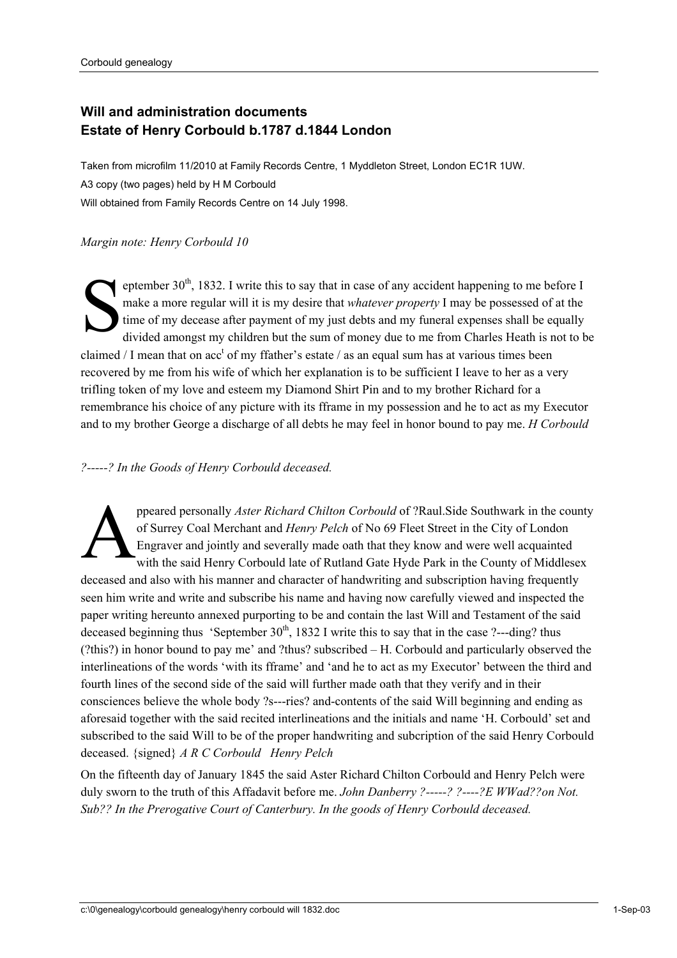## **Will and administration documents Estate of Henry Corbould b.1787 d.1844 London**

Taken from microfilm 11/2010 at Family Records Centre, 1 Myddleton Street, London EC1R 1UW. A3 copy (two pages) held by H M Corbould Will obtained from Family Records Centre on 14 July 1998.

## *Margin note: Henry Corbould 10*

eptember  $30<sup>th</sup>$ , 1832. I write this to say that in case of any accident happening to me before I make a more regular will it is my desire that *whatever property* I may be possessed of at the time of my decease after payment of my just debts and my funeral expenses shall be equally divided amongst my children but the sum of money due to me from Charles Heath is not to be claimed / I mean that on  $acc<sup>t</sup>$  of my ffather's estate / as an equal sum has at various times been recovered by me from his wife of which her explanation is to be sufficient I leave to her as a very trifling token of my love and esteem my Diamond Shirt Pin and to my brother Richard for a remembrance his choice of any picture with its fframe in my possession and he to act as my Executor and to my brother George a discharge of all debts he may feel in honor bound to pay me. *H Corbould*   $S_{\scriptscriptstyle \rm{time}}^{\scriptscriptstyle \rm{ept}}$ 

## *?-----? In the Goods of Henry Corbould deceased.*

ppeared personally *Aster Richard Chilton Corbould* of ?Raul.Side Southwark in the county of Surrey Coal Merchant and *Henry Pelch* of No 69 Fleet Street in the City of London Engraver and jointly and severally made oath that they know and were well acquainted with the said Henry Corbould late of Rutland Gate Hyde Park in the County of Middlesex deceased and also with his manner and character of handwriting and subscription having frequently seen him write and write and subscribe his name and having now carefully viewed and inspected the paper writing hereunto annexed purporting to be and contain the last Will and Testament of the said deceased beginning thus 'September  $30<sup>th</sup>$ , 1832 I write this to say that in the case ?---ding? thus (?this?) in honor bound to pay me' and ?thus? subscribed – H. Corbould and particularly observed the interlineations of the words 'with its fframe' and 'and he to act as my Executor' between the third and fourth lines of the second side of the said will further made oath that they verify and in their consciences believe the whole body ?s---ries? and-contents of the said Will beginning and ending as aforesaid together with the said recited interlineations and the initials and name 'H. Corbould' set and subscribed to the said Will to be of the proper handwriting and subcription of the said Henry Corbould deceased. {signed} *A R C Corbould Henry Pelch*   $\sum_{\text{eng}}^{\text{pre}}$ 

On the fifteenth day of January 1845 the said Aster Richard Chilton Corbould and Henry Pelch were duly sworn to the truth of this Affadavit before me. *John Danberry ?-----? ?----?E WWad??on Not. Sub?? In the Prerogative Court of Canterbury. In the goods of Henry Corbould deceased.*